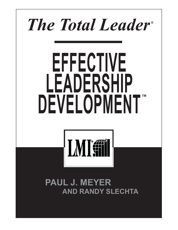